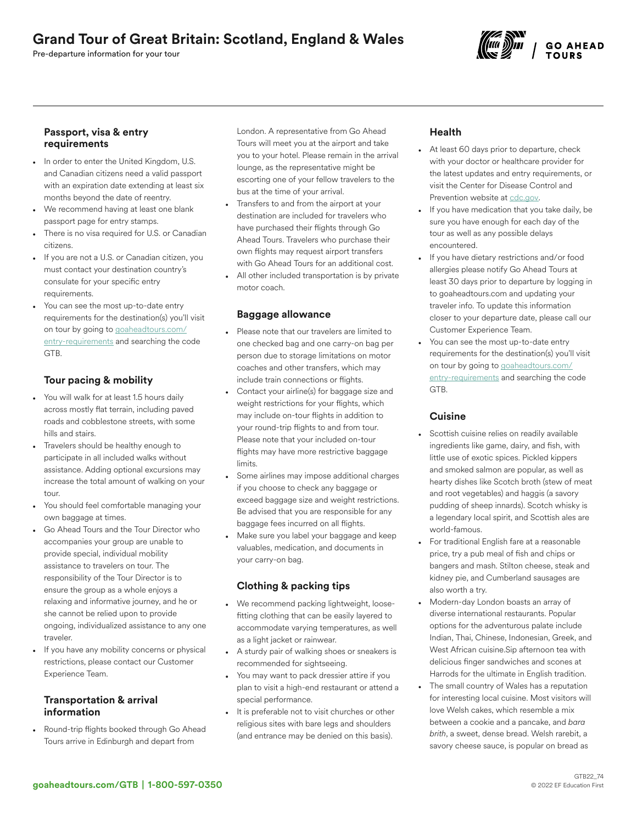Pre-departure information for your tour



#### Passport, visa & entry requirements

- In order to enter the United Kingdom, U.S. and Canadian citizens need a valid passport with an expiration date extending at least six months beyond the date of reentry.
- We recommend having at least one blank passport page for entry stamps.
- There is no visa required for U.S. or Canadian citizens.
- If you are not a U.S. or Canadian citizen, you must contact your destination country's consulate for your specific entry requirements.
- You can see the most up-to-date entry requirements for the destination(s) you'll visit on tour by going to [goaheadtours.com/](/entry-requirements?tourCode=GTB) [entry-requirements](/entry-requirements?tourCode=GTB) and searching the code GTB.

## Tour pacing & mobility

- You will walk for at least 1.5 hours daily across mostly flat terrain, including paved roads and cobblestone streets, with some hills and stairs.
- Travelers should be healthy enough to participate in all included walks without assistance. Adding optional excursions may increase the total amount of walking on your tour.
- You should feel comfortable managing your own baggage at times.
- Go Ahead Tours and the Tour Director who accompanies your group are unable to provide special, individual mobility assistance to travelers on tour. The responsibility of the Tour Director is to ensure the group as a whole enjoys a relaxing and informative journey, and he or she cannot be relied upon to provide ongoing, individualized assistance to any one traveler.
- If you have any mobility concerns or physical restrictions, please contact our Customer Experience Team.

#### Transportation & arrival information

• Round-trip flights booked through Go Ahead Tours arrive in Edinburgh and depart from

London. A representative from Go Ahead Tours will meet you at the airport and take you to your hotel. Please remain in the arrival lounge, as the representative might be escorting one of your fellow travelers to the bus at the time of your arrival.

• Transfers to and from the airport at your destination are included for travelers who have purchased their flights through Go Ahead Tours. Travelers who purchase their own flights may request airport transfers with Go Ahead Tours for an additional cost. All other included transportation is by private motor coach.

#### Baggage allowance

- Please note that our travelers are limited to one checked bag and one carry-on bag per person due to storage limitations on motor coaches and other transfers, which may include train connections or flights.
- Contact your airline(s) for baggage size and weight restrictions for your flights, which may include on-tour flights in addition to your round-trip flights to and from tour. Please note that your included on-tour flights may have more restrictive baggage limits.
- Some airlines may impose additional charges if you choose to check any baggage or exceed baggage size and weight restrictions. Be advised that you are responsible for any baggage fees incurred on all flights.
- Make sure you label your baggage and keep valuables, medication, and documents in your carry-on bag.

## Clothing & packing tips

- We recommend packing lightweight, loosefitting clothing that can be easily layered to accommodate varying temperatures, as well as a light jacket or rainwear.
- A sturdy pair of walking shoes or sneakers is recommended for sightseeing.
- You may want to pack dressier attire if you plan to visit a high-end restaurant or attend a special performance.
- It is preferable not to visit churches or other religious sites with bare legs and shoulders (and entrance may be denied on this basis).

# Health

- At least 60 days prior to departure, check with your doctor or healthcare provider for the latest updates and entry requirements, or visit the Center for Disease Control and Prevention website at [cdc.gov.](https://www.cdc.gov/)
- If you have medication that you take daily, be sure you have enough for each day of the tour as well as any possible delays encountered.
- If you have dietary restrictions and/or food allergies please notify Go Ahead Tours at least 30 days prior to departure by logging in to goaheadtours.com and updating your traveler info. To update this information closer to your departure date, please call our Customer Experience Team.
- You can see the most up-to-date entry requirements for the destination(s) you'll visit on tour by going to [goaheadtours.com/](/entry-requirements?tourCode=GTB) [entry-requirements](/entry-requirements?tourCode=GTB) and searching the code GTB.

#### **Cuisine**

- Scottish cuisine relies on readily available ingredients like game, dairy, and fish, with little use of exotic spices. Pickled kippers and smoked salmon are popular, as well as hearty dishes like Scotch broth (stew of meat and root vegetables) and haggis (a savory pudding of sheep innards). Scotch whisky is a legendary local spirit, and Scottish ales are world-famous.
- For traditional English fare at a reasonable price, try a pub meal of fish and chips or bangers and mash. Stilton cheese, steak and kidney pie, and Cumberland sausages are also worth a try.
- Modern-day London boasts an array of diverse international restaurants. Popular options for the adventurous palate include Indian, Thai, Chinese, Indonesian, Greek, and West African cuisine.Sip afternoon tea with delicious finger sandwiches and scones at Harrods for the ultimate in English tradition.
- The small country of Wales has a reputation for interesting local cuisine. Most visitors will love Welsh cakes, which resemble a mix between a cookie and a pancake, and *bara brith*, a sweet, dense bread. Welsh rarebit, a savory cheese sauce, is popular on bread as